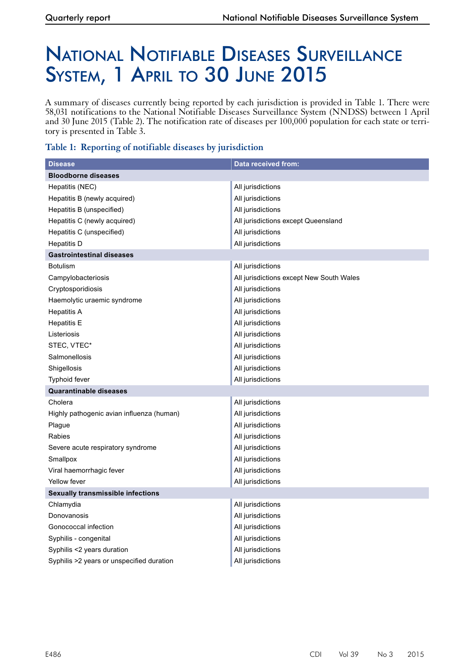# National Notifiable Diseases Surveillance SYSTEM, 1 APRIL TO 30 JUNE 2015

A summary of diseases currently being reported by each jurisdiction is provided in Table 1. There were 58,031 notifications to the National Notifiable Diseases Surveillance System (NNDSS) between 1 April and 30 June 2015 (Table 2). The notification rate of diseases per 100,000 population for each state or territory is presented in Table 3.

## **Table 1: Reporting of notifiable diseases by jurisdiction**

| <b>Disease</b>                            | Data received from:                      |
|-------------------------------------------|------------------------------------------|
| <b>Bloodborne diseases</b>                |                                          |
| Hepatitis (NEC)                           | All jurisdictions                        |
| Hepatitis B (newly acquired)              | All jurisdictions                        |
| Hepatitis B (unspecified)                 | All jurisdictions                        |
| Hepatitis C (newly acquired)              | All jurisdictions except Queensland      |
| Hepatitis C (unspecified)                 | All jurisdictions                        |
| <b>Hepatitis D</b>                        | All jurisdictions                        |
| <b>Gastrointestinal diseases</b>          |                                          |
| <b>Botulism</b>                           | All jurisdictions                        |
| Campylobacteriosis                        | All jurisdictions except New South Wales |
| Cryptosporidiosis                         | All jurisdictions                        |
| Haemolytic uraemic syndrome               | All jurisdictions                        |
| <b>Hepatitis A</b>                        | All jurisdictions                        |
| <b>Hepatitis E</b>                        | All jurisdictions                        |
| Listeriosis                               | All jurisdictions                        |
| STEC, VTEC*                               | All jurisdictions                        |
| Salmonellosis                             | All jurisdictions                        |
| Shigellosis                               | All jurisdictions                        |
| <b>Typhoid fever</b>                      | All jurisdictions                        |
| <b>Quarantinable diseases</b>             |                                          |
| Cholera                                   | All jurisdictions                        |
| Highly pathogenic avian influenza (human) | All jurisdictions                        |
| Plague                                    | All jurisdictions                        |
| Rabies                                    | All jurisdictions                        |
| Severe acute respiratory syndrome         | All jurisdictions                        |
| Smallpox                                  | All jurisdictions                        |
| Viral haemorrhagic fever                  | All jurisdictions                        |
| Yellow fever                              | All jurisdictions                        |
| <b>Sexually transmissible infections</b>  |                                          |
| Chlamydia                                 | All jurisdictions                        |
| Donovanosis                               | All jurisdictions                        |
| Gonococcal infection                      | All jurisdictions                        |
| Syphilis - congenital                     | All jurisdictions                        |
| Syphilis <2 years duration                | All jurisdictions                        |
| Syphilis >2 years or unspecified duration | All jurisdictions                        |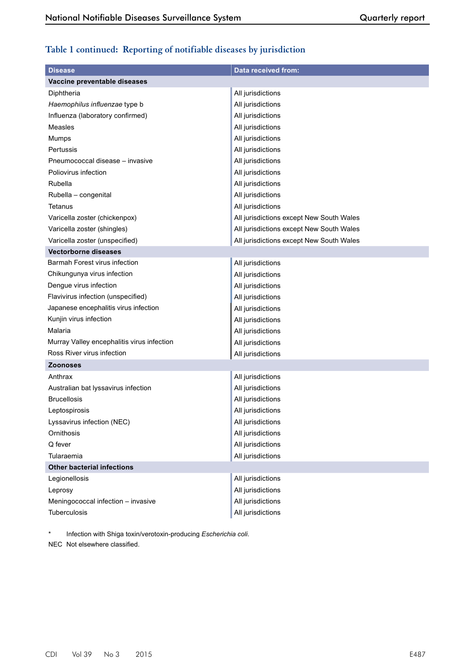# **Table 1 continued: Reporting of notifiable diseases by jurisdiction**

| <b>Disease</b>                             | <b>Data received from:</b>               |
|--------------------------------------------|------------------------------------------|
| Vaccine preventable diseases               |                                          |
| Diphtheria                                 | All jurisdictions                        |
| Haemophilus influenzae type b              | All jurisdictions                        |
| Influenza (laboratory confirmed)           | All jurisdictions                        |
| Measles                                    | All jurisdictions                        |
| Mumps                                      | All jurisdictions                        |
| Pertussis                                  | All jurisdictions                        |
| Pneumococcal disease - invasive            | All jurisdictions                        |
| Poliovirus infection                       | All jurisdictions                        |
| Rubella                                    | All jurisdictions                        |
| Rubella - congenital                       | All jurisdictions                        |
| Tetanus                                    | All jurisdictions                        |
| Varicella zoster (chickenpox)              | All jurisdictions except New South Wales |
| Varicella zoster (shingles)                | All jurisdictions except New South Wales |
| Varicella zoster (unspecified)             | All jurisdictions except New South Wales |
| <b>Vectorborne diseases</b>                |                                          |
| Barmah Forest virus infection              | All jurisdictions                        |
| Chikungunya virus infection                | All jurisdictions                        |
| Dengue virus infection                     | All jurisdictions                        |
| Flavivirus infection (unspecified)         | All jurisdictions                        |
| Japanese encephalitis virus infection      | All jurisdictions                        |
| Kunjin virus infection                     | All jurisdictions                        |
| Malaria                                    | All jurisdictions                        |
| Murray Valley encephalitis virus infection | All jurisdictions                        |
| Ross River virus infection                 | All jurisdictions                        |
| <b>Zoonoses</b>                            |                                          |
| Anthrax                                    | All jurisdictions                        |
| Australian bat lyssavirus infection        | All jurisdictions                        |
| <b>Brucellosis</b>                         | All jurisdictions                        |
| Leptospirosis                              | All jurisdictions                        |
| Lyssavirus infection (NEC)                 | All jurisdictions                        |
| Ornithosis                                 | All jurisdictions                        |
| Q fever                                    | All jurisdictions                        |
| Tularaemia                                 | All jurisdictions                        |
| <b>Other bacterial infections</b>          |                                          |
| Legionellosis                              | All jurisdictions                        |
| Leprosy                                    | All jurisdictions                        |
| Meningococcal infection - invasive         | All jurisdictions                        |
| Tuberculosis                               | All jurisdictions                        |

\* Infection with Shiga toxin/verotoxin-producing *Escherichia coli*.

NEC Not elsewhere classified.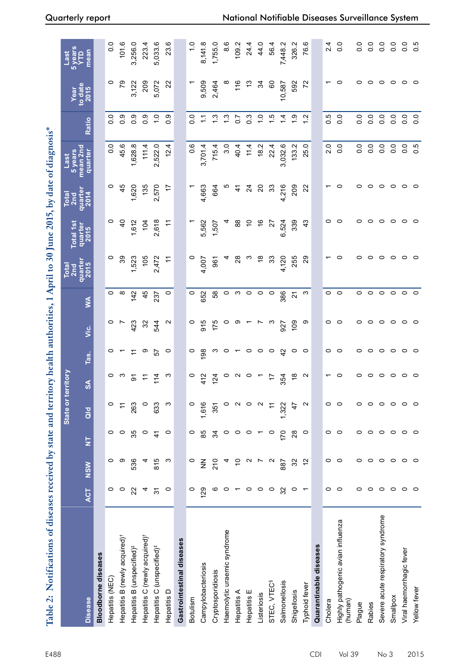| Table 2: Notifications of diseases received by state and territory health authorities, 1 April to 30 June 2015, by date of diagnosis* |                |                   |                         |                   |                |                |                   |                |                 |                 |                 |                     |                  |                          |                       |
|---------------------------------------------------------------------------------------------------------------------------------------|----------------|-------------------|-------------------------|-------------------|----------------|----------------|-------------------|----------------|-----------------|-----------------|-----------------|---------------------|------------------|--------------------------|-----------------------|
|                                                                                                                                       |                |                   |                         | State or          | territory      |                |                   |                | Total<br>2nd    | Total 1st       | Total<br>2nd    | 5 years<br>Last     |                  |                          | <b>Syears</b><br>Last |
| <b>Disease</b>                                                                                                                        | <b>ACT</b>     | <b>NSW</b>        | $\overline{\mathsf{z}}$ | ald               | $\infty$       | Tas.           | νiς.              | ≸              | quarter<br>2015 | quarter<br>2015 | quarter<br>2014 | mean 2nd<br>quartel | Ratio            | Vear<br>to date<br>_2015 | mean                  |
| <b>Bloodborne diseases</b>                                                                                                            |                |                   |                         |                   |                |                |                   |                |                 |                 |                 |                     |                  |                          |                       |
| Hepatitis (NEC)                                                                                                                       | 0              | 0                 | $\circ$                 | $\circ$           |                | 0              | 0                 | 0              | 0               | 0               | 0               | 0.0                 | $\overline{0}$   | 0                        | 0.0                   |
| Hepatitis B (newly acquired) <sup>†</sup>                                                                                             | 0              | တ                 | 0                       | $\tilde{t}$       |                |                |                   | ∞              | 39              | $\frac{1}{4}$   | 45              | 45.6                | 0.9              | 56                       | 101.6                 |
| Hepatitis B (unspecified) <sup>#</sup>                                                                                                | $\overline{2}$ | 536               | 35                      | 263               | ଚ              |                | 423               | 142            | 1,523           | 1,612           | 1,620           | 1,628.8             | 0.9              | 3,122                    | 3,256.0               |
| Hepatitis C (newly acquired) <sup>+</sup>                                                                                             | 4              |                   | $\circ$                 | $\circ$           | $\cong$        | တ              | ೫                 | 45             | 105             | 104             | 135             | 111.4               | 0.9              | 209                      | 223.4                 |
| Hepatitis C (unspecified) <sup>#</sup>                                                                                                | $\overline{5}$ | 815               | $\frac{4}{3}$           | 633               | $\frac{14}{3}$ | 57             | 544               | 237            | 2,472           | 2,618           | 2,570           | 2,522.0             | $\frac{1}{2}$    | 5,072                    | 5,033.6               |
| Hepatitis D                                                                                                                           | $\circ$        | က                 | $\circ$                 | ო                 | ო              | $\circ$        | $\mathbf{\Omega}$ | $\circ$        | $\pm$           | $\pm$           | 17              | 12.4                | 0.9              | 22                       | 23.6                  |
| Gastrointestinal diseases                                                                                                             |                |                   |                         |                   |                |                |                   |                |                 |                 |                 |                     |                  |                          |                       |
| Botulism                                                                                                                              | 0              | $\circ$           | 0                       | $\circ$           | O              | $\circ$        | 0                 | $\circ$        | o               |                 |                 | $0.\overline{6}$    | $\frac{0}{2}$    |                          | $\frac{0}{1}$         |
| Campylobacteriosis                                                                                                                    | 129            | $\frac{z}{z}$     | 85                      | 1,616             | 412            | 198            | 915               | 652            | 4,007           | 5,562           | 4,663           | 3,701.4             | Ξ                | 9,509                    | 8,141.8               |
| Cryptosporidiosis                                                                                                                     | ဖ              | 210               | 34                      | 351               | 124            | ო              | 175               | 58             | 961             | 1,507           | 664             | 715.4               | $\frac{3}{2}$    | 2,464                    | 1,755.0               |
| Haemolytic uraemic syndrome                                                                                                           | $\circ$        |                   | 0                       | $\circ$           | $\circ$        | $\circ$        | o                 | 0              |                 |                 |                 | 3.0                 | $\frac{3}{2}$    |                          | 8.6                   |
| Hepatitis A                                                                                                                           |                | $\overline{C}$    | $\circ$                 | $\mathbf{\Omega}$ | $\sim$         | $\overline{ }$ | တ                 | ო              | $\frac{8}{2}$   | 88              | 41              | 40.4                | $\overline{0.7}$ | 116                      | 109.2                 |
| Hepatitis E                                                                                                                           | $\circ$        | $\sim$            | $\circ$                 | $\circ$           | $\circ$        | $\circ$        |                   | $\circ$        | ო               | $\tilde{c}$     | $\frac{5}{4}$   | 11.4                | $0.\overline{3}$ | చ                        | 24.4                  |
| Listeriosis                                                                                                                           | $\circ$        | Ľ                 |                         | $\mathbf{\Omega}$ |                | $\circ$        |                   | $\circ$        | $\frac{8}{5}$   | $\frac{6}{5}$   | $\Omega$        | 18.2                | $\frac{0}{1}$    | 34                       | 44.0                  |
| STEC, VTEC <sup>§</sup>                                                                                                               | $\circ$        | $\mathbf{\Omega}$ | $\circ$                 | $\tilde{+}$       | 4              | $\circ$        | က                 | $\circ$        | 33              | 27              | 33              | 22.4                | $\frac{1}{2}$    | 60                       | 56.4                  |
| Salmonellosis                                                                                                                         | 32             | 887               | 170                     | 1,322             | 354            | $\overline{a}$ | 927               | 386            | 4,120           | 6,524           | 4,216           | 3,032.6             | $\dot{z}$        | 10,587                   | 7,448.2               |
| Shigellosis                                                                                                                           | $\circ$        | 32                | 28                      | 47                | ံခ             | $\circ$        | 109               | $\overline{2}$ | 255             | 339             | 209             | 133.2               | $\frac{6}{1}$    | 592                      | 326.2                 |
| Typhoid fever                                                                                                                         |                | $\tilde{c}$       | $\circ$                 | $\sim$            |                | $\circ$        | တ                 | ო              | 29              | $\frac{3}{4}$   | 22              | 25.0                | $\frac{2}{3}$    | 22                       | 76.6                  |
| Quarantinable diseases                                                                                                                |                |                   |                         |                   |                |                |                   |                |                 |                 |                 |                     |                  |                          |                       |
| Cholera                                                                                                                               | 0              | 0                 | $\circ$                 | $\circ$           |                | 0              | 0                 | 0              |                 |                 |                 | $\overline{2}$ .0   | 0.5              |                          | $\frac{4}{2}$         |
| Highly pathogenic avian influenza<br>(human)                                                                                          | $\circ$        | $\circ$           | $\circ$                 | $\circ$           | 0              | $\circ$        | $\circ$           | $\circ$        | 0               |                 |                 | 0.0                 | $\overline{0}$ . | 0                        | 0.0                   |
| Plague                                                                                                                                | 0              | 0                 | 0                       | 0                 | 0              | 0              | 0                 | 0              |                 |                 |                 | 0.0                 | $\overline{0}$ . | 0                        | $\overline{0}$ .      |
| Rabies                                                                                                                                | $\circ$        | $\circ$           | $\circ$                 | $\circ$           | 0              | 0              | $\circ$           | 0              | っ               |                 |                 | 0.0                 | 0.0              | 0                        | 0.0                   |
| Severe acute respiratory syndrome                                                                                                     | $\circ$        | $\circ$           | $\circ$                 | $\circ$           | 0              | $\circ$        | $\circ$           | $\circ$        | c               |                 | o               | 0.0                 | 0.0              | $\circ$                  | 0.0                   |
| Smallpox                                                                                                                              | $\circ$        | $\circ$           | $\circ$                 | $\circ$           | $\circ$        | $\circ$        | $\circ$           | $\circ$        | $\circ$         |                 | 0               | 0.0                 | 0.0              | $\circ$                  | 0.0                   |
| Viral haemorrhagic fever                                                                                                              | $\circ$        | $\circ$           | $\circ$                 | $\circ$           | 0              | $\circ$        | $\circ$           | $\circ$        | 0               |                 | 0               | 0.0                 | $\overline{0}$   | 0                        | $\frac{0}{0}$         |
| Yellow fever                                                                                                                          | $\circ$        | $\circ$           | $\circ$                 | $\circ$           | $\circ$        | $\circ$        | $\circ$           | $\circ$        | $\circ$         |                 |                 | 0.5                 | $\overline{0}$   | $\circ$                  | 0.5                   |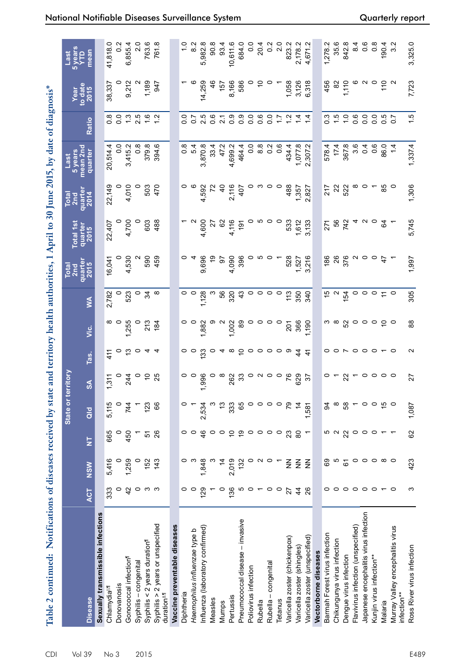| Table 2 continued: Notifications of diseases received by state and territory health authorities, 1 April to 30 June 2015, by date of diagnosis* |                                             |                         |                         |                 |                         |                                      |                                 |                           |                 |                 |                        |                     |                                               |                   |                        |
|-------------------------------------------------------------------------------------------------------------------------------------------------|---------------------------------------------|-------------------------|-------------------------|-----------------|-------------------------|--------------------------------------|---------------------------------|---------------------------|-----------------|-----------------|------------------------|---------------------|-----------------------------------------------|-------------------|------------------------|
|                                                                                                                                                 |                                             |                         |                         | State or 1      | erritory                |                                      |                                 |                           | Total<br>2nd    | Total 1st       | Total<br>2nd           | 5 years<br>Last     |                                               | Year              | 5 years<br>YTD<br>Last |
| <b>Disease</b>                                                                                                                                  | <b>ACT</b>                                  | <b>NSW</b>              | $\overline{\mathsf{z}}$ | $\frac{d}{d}$   | $\infty$                | Tas.                                 | ن<br>آ<                         | Š                         | quarter<br>2015 | quarter<br>2015 | quarter<br>  2014<br>  | mean 2nd<br>quarter | Ratio                                         | to date<br>$2015$ | mean                   |
| Sexually transmissible infections                                                                                                               |                                             |                         |                         |                 |                         |                                      |                                 |                           |                 |                 |                        |                     |                                               |                   |                        |
| Chlamydiall1                                                                                                                                    | 333                                         | 5,416                   | 665                     | 5,115           | 1,311                   | 41                                   | ∞                               | 2,782                     | 16,041          | 22,407          | 22,149                 | 20,514.4            |                                               | 38,337            | 41,818.0               |
| Donovanosis                                                                                                                                     | $\circ$                                     | $\circ$                 | $\circ$                 | $\circ$         | $\circ$                 | $\circ$                              | $\circ$                         |                           |                 |                 | $\circ$                | 0.0                 | 8<br>0.0                                      | $\circ$           | $\frac{2}{2}$          |
| Gonococcal infection <sup>1</sup>                                                                                                               | $\overline{4}$                              | 1,259                   | 450                     | 744             | 244                     | ಼                                    | 1,255                           | 523                       | 4,530           | 4,700           | 4,010                  | 3,415.2             |                                               | 9,212             | 6,855.4                |
| Syphilis-congenital                                                                                                                             |                                             | $\circ$                 |                         |                 | $\circ$                 | $\circ$                              |                                 |                           |                 |                 |                        | $0.\overline{8}$    | $\frac{3}{2}$ 5                               |                   | 2.0                    |
| Syphilis < $2$ years duration <sup>1</sup>                                                                                                      | ဝ က က                                       | 152                     | 57                      | 123             | 25                      | न न                                  | 213                             | $\frac{5}{4}$ $\circ$     | 590<br>459      | 603             | 503                    | 379.8               | 1.6                                           | 1,189             | 763.6                  |
| Syphilis > 2 years or unspecified<br>duration <sup>#,ff</sup>                                                                                   |                                             | 143                     | 26                      | 89              |                         |                                      | 184                             |                           |                 | 488             | 470                    | 394.6               |                                               | 947               | 761.8                  |
| Vaccine preventable diseases                                                                                                                    |                                             |                         |                         |                 |                         |                                      |                                 |                           |                 |                 |                        |                     |                                               |                   |                        |
| Diphtheria                                                                                                                                      | 0                                           | 0                       | 0                       |                 | 0                       |                                      |                                 |                           |                 |                 | 0                      | $\frac{8}{1}$       | 0.0                                           |                   |                        |
| Haemophilus influenzae type b                                                                                                                   | $\circ$                                     | က                       | $\circ$                 |                 |                         | $\circ$                              |                                 |                           |                 |                 |                        | 5.4                 | $\overline{0}$                                |                   | 8.2                    |
| Influenza (laboratory confirmed)                                                                                                                | 129                                         | 1,848                   | 46                      | 2,534           | 1,996                   | 133                                  | 1,882                           | 1,128                     | 9,696           | 4,600           | 4,592                  | 3,870.8             | 2.5                                           | 14,259            | 5,982.8                |
| Measles                                                                                                                                         |                                             |                         | $\circ$                 | ო               |                         |                                      |                                 |                           | <u>ဝှ</u>       | $\overline{a}$  | $\tilde{\kappa}$       | 33.4                | 0.6                                           | $\frac{6}{4}$     | 90.8                   |
| Mumps                                                                                                                                           | $\circ$                                     | $\overline{4}$          | $\circ$                 | $\frac{3}{2}$   |                         |                                      |                                 | 56                        | 5               | 62              | $\overline{a}$         | 47.2                | $\overline{21}$                               | 157               | 93.4                   |
| Pertussis                                                                                                                                       | 136                                         | 2,019                   | $\tilde{a}$             | 333             | 262                     | $\infty$                             | 1,002                           | $320$<br>43               | 4,090<br>396    | 4,116           | 2,116                  | 4,699.2             | $\overline{0}$ .                              | 8,166             | 10,611.6               |
| Pneumococcal disease - invasive                                                                                                                 | မော ဓ                                       | 132                     | စ္                      | 65              | 33                      | $\tilde{\varepsilon}$                | 89                              |                           |                 | $\frac{1}{9}$   | 407                    | 464.4               | $\begin{smallmatrix}0&&0\&0\end{smallmatrix}$ | 586               | 684.0                  |
| Poliovirus infection                                                                                                                            |                                             | $\circ$                 | $\circ \circ \circ$     | $\circ$         |                         | $\circ \circ \circ$                  |                                 |                           |                 |                 |                        | 0.0                 |                                               |                   | $\frac{0}{2}$          |
| Rubella                                                                                                                                         | $\overline{ }$                              | $\sim$                  |                         | $\circ$ $\circ$ | $\circ$ $\circ$ $\circ$ |                                      |                                 | $\circ \circ \circ \circ$ |                 |                 | ო                      | 8.8                 | 0.6                                           | S                 | 20.4                   |
| congenital<br>Rubella-                                                                                                                          | $\circ$                                     | $\circ$                 |                         |                 |                         |                                      | $\circ$ $\circ$                 |                           |                 | 0               | $\circ$ $\circ$        | $\overline{0}$ .    | $\overline{0}$ .                              |                   | $0.\overline{2}$       |
| Tetanus                                                                                                                                         | $\circ$                                     | $\overline{a}$          | $\circ$                 | $\circ$         |                         | $\circ$                              |                                 |                           |                 | $\circ$         |                        | 0.6                 | $\ddot{ }$ :                                  |                   | 2.0                    |
| Varicella zoster (chickenpox)                                                                                                                   | 27                                          | $\frac{z}{z}$           | 23                      | 54              | 76                      | ာ                                    | 201                             | 113                       | 528             | 533             | 488                    | 434.4               | $\frac{2}{3}$                                 | 1,058             | 823.2                  |
| Varicella zoster (shingles)                                                                                                                     | $\frac{4}{4}$                               | $\frac{z}{z}$           | 80                      | $\overline{4}$  | 629<br>37               | $\frac{4}{3}$                        | 366                             | 350                       | 1,527           | 1,612           | 1,357                  | 1,077.8             | 14                                            | 3,126             | 2,178.2                |
| Varicella zoster (unspecified)                                                                                                                  | 26                                          | $\frac{2}{2}$           | $\overline{a}$          | 1,581           |                         |                                      | 1,190                           | 340                       | 3,216           | 3,133           | 2,827                  | 2,307.2             | $\overline{4}$                                | 6,318             | 4,671.2                |
| Vectorborne diseases                                                                                                                            |                                             |                         |                         |                 |                         |                                      |                                 |                           |                 |                 |                        |                     |                                               |                   |                        |
| Barmah Forest virus infection                                                                                                                   |                                             | 69                      | ro c                    | \$              |                         |                                      | ო თ                             | to a                      | 186             | 271             | 217                    | 578.4               | $\frac{3}{2}$                                 | 456               | 1,278.2                |
| Chikungunya virus infection                                                                                                                     |                                             | Ю                       |                         | $\infty$        |                         |                                      |                                 |                           | 26              | 56              | $\overline{2}$         | 17.4                | $\frac{1}{2}$                                 | $\approx$         | 35.6                   |
| Dengue virus infection                                                                                                                          |                                             | 67                      | 22                      | 58              |                         |                                      | 52                              | 154                       | 376             | 742             | 522                    | 367.8               | $\frac{1}{2}$                                 | 1,110             | 842.8                  |
| Flavivirus infection (unspecified)                                                                                                              | $\circ \circ \circ \circ \circ \circ \star$ |                         | $\circ$                 | $\sim$ 0 0      |                         | $\circ\circ\circ\circ\circ\,\,\cdot$ |                                 | $\circ$                   |                 |                 |                        | 3.6                 | 0.6                                           |                   | 8.4                    |
| Japanese encephalitis virus infection                                                                                                           |                                             | $\circ$ $\circ$ $\circ$ | $\circ$                 |                 | $\circ$ $\circ$         |                                      |                                 | $\circ$ $\circ$           | $\circ$         | 4 N O           | $\infty$ $\sim$ $\sim$ | 0.4                 | 0.0                                           | $\sim$ 0          | 0.8                    |
| Kunjin virus infection**                                                                                                                        |                                             |                         | $\circ$                 |                 |                         |                                      |                                 |                           | $\circ$         |                 |                        | 0.6                 | 0.0                                           |                   |                        |
| Malaria                                                                                                                                         |                                             | $\infty$ $\circ$        | $\overline{ }$          | $\frac{15}{2}$  | $\circ$ $\circ$         |                                      | $\circ \circ \circ \circ \circ$ | $\approx$ 0               | $\ddot{t}$      | 64              | 85                     | 86.0                | $0.5$<br>0.7                                  | 110               | 190.4                  |
| Murray Valley encephalitis virus<br>nfection**                                                                                                  | $\circ$                                     |                         | $\overline{ }$          |                 |                         |                                      |                                 |                           |                 |                 |                        |                     |                                               |                   | 3.2                    |
| Ross River virus infection                                                                                                                      | ς                                           | 423                     | 62                      | 1,087           | 27                      | N                                    | $\frac{8}{2}$                   | 305                       | 1,997           | 5,745           | 1,306                  | 1,337.4             | 1.5                                           | 7,723             | 3,325.0                |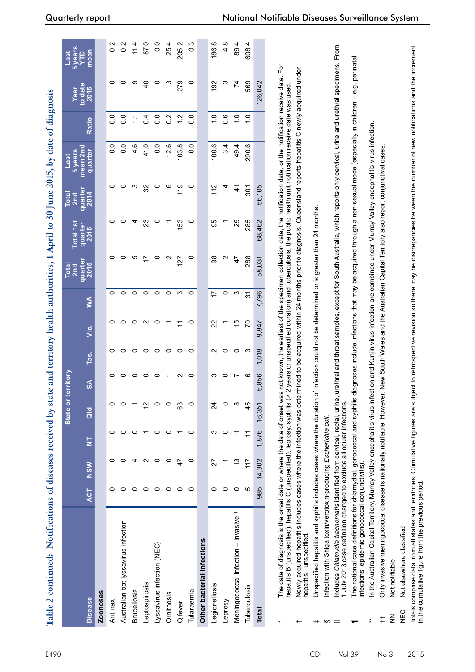| Includes Chlamydia trachomatis identified from cervical, rectal, urine, urethral and throat samples, except for South Australia, which reports only cervical, urine and urethral specimens. From<br>608.<br>mean<br>Ê<br>e.g. perinatal<br>The date of diagnosis is the onset date or where the date of onset was not known, the earliest of the specimen collection date, the notification date, or the notification receive date. For<br>ermined to be acquired within 24 months prior to diagnosis. Queensland reports hepatitis C newly acquired under<br>192<br>0<br>0<br>တ<br>$\overline{4}$<br>0<br>ო<br>279<br>$\circ$<br>ო<br>74<br>569<br>126,042<br>to date<br>> 2 years or unspecified duration) and tuberculosis, the public health unit notification receive date was used<br>2015<br>$\mathsf I$<br>diagnoses include infections that may be acquired through a non-sexual mode (especially in children<br>0.0<br>0.6<br>$\frac{0}{\tau}$<br>$\frac{0}{1}$<br>$\overline{0}$ .<br>0.4<br>$\overline{0}$<br>0.2<br>1.2<br>$\frac{0}{1}$<br>ိဝ<br>$\ddot{ }$<br>Ratio<br>fection and Kunjin virus infection are combined under Murray Valley encephalitis virus infection<br>0.0<br>4.6<br>0.0<br>290.6<br>$\frac{0}{0}$<br>41.0<br>$\overline{0}$<br>12.6<br>103.8<br>100.6<br>3.4<br>49.4<br>mean 2nd<br>Only invasive meningococcal disease is nationally notifiable. However, New South Wales and the Australian Capital Territory also report conjunctival cases<br>quarter<br>$\circ$<br>119<br>$\circ$<br>56,105<br>0<br>0<br>ო<br>32<br>ဖ<br>112<br>4<br>$\frac{4}{3}$<br>301<br>quarter<br>2014<br>of infection could not be determined or is greater than 24 months<br>153<br>$\circ$<br>95<br>29<br>0<br>0<br>4<br>23<br>0<br>285<br>68,462<br>quarter<br>2015<br>ю<br>$\circ$<br>98<br>0<br>0<br>$\circ$<br>$\mathbf{\Omega}$<br>Ν<br>288<br>$\overline{1}$<br>127<br>47<br>58,031<br>quarter<br>2015<br>$\circ$<br>S<br>0<br>$\circ$<br>$\circ$<br>$\circ$<br>$\circ$<br>0<br>$\circ$<br>က<br>7,796<br>17<br>ᢌ<br>≸<br>$\circ$<br>$\circ$<br>$\mathbf{\Omega}$<br>$\circ$<br>$\circ$<br>15<br>50<br>0<br>22<br>9.847<br>$\widetilde{\phantom{m}}$<br>ن<br>آلا<br>$\circ$<br>$\circ$<br>$\circ$<br>$\circ$<br>$\circ$<br>$\circ$<br>$\sim$<br>$\circ$<br>$\circ$<br>1.018<br>0<br>0<br>က<br>Tas.<br>5.856<br>0<br>0<br>$\circ$<br>$\circ$<br>ო<br>0<br>0<br>$\sim$<br>$\circ$<br>Ľ<br>ဖ<br>$\mathsf{S}$<br>The national case definitions for chlamydial, gonococcal and syphilis<br>hepatitis B (unspecified), hepatitis C (unspecified), leprosy, syphilis (<br>Newly acquired hepatitis includes cases where the infection was det<br>Unspecified hepatitis and syphilis includes cases where the duration<br>In the Australian Capital Territory, Murray Valley encephalitis virus in<br>1 July 2013 case definition changed to exclude all ocular infections.<br>$\tilde{c}$<br>$\circ$<br>63<br>$\circ$<br>$\circ$<br>$\circ$<br>$\infty$<br>45<br>0<br>0<br>24<br>$\overline{\phantom{0}}$<br>16,351<br>$\frac{d}{d}$<br>nfection with Shiga toxin/verotoxin-producing Escherichia coli.<br>1,876<br>0<br>0<br>$\circ$<br>$\circ$<br>က<br>0<br>0<br>0<br>$\overline{\phantom{0}}$<br>H<br>E<br>14,302<br>4<br>$\sim$<br>$\circ$<br>13<br>0<br>0<br>$\circ$<br>$\circ$<br>$\ddot{t}$<br>117<br>22<br><b>MSM</b><br>infections, epidemic gonococcal conjunctivitis).<br>985<br>$\circ$<br>0<br>0<br>$\circ$<br>$\circ$<br>$\circ$<br>$\circ$<br>$\circ$<br>0<br>Ю<br>0<br>0<br>ACT<br>Meningococcal infection - invasive <sup>11</sup><br>Australian bat lyssavirus infection<br>Not elsewhere classified<br>hepatitis unspecified.<br>Other bacterial infections<br>Lyssavirus infection (NEC)<br>Not notifiable<br>Leptospirosis<br>Legionellosis<br>Tuberculosis<br>Tularaemia<br><b>Brucellosis</b><br>Zoonoses<br>Ornithosis<br><b>Disease</b><br>Leprosy<br>Anthrax<br>Q fever<br>Total<br>NEC<br>$\frac{z}{z}$<br>ŧ<br>$*$<br>$^{\rm +}$<br>ဖာ<br>$=$<br>ᆕ<br>+ |  |  | State or | territory |  | <b>Total</b><br>2 <sub>nd</sub> | <b>Total 1st</b> | <b>Total</b><br>2 <sub>nd</sub> | 5 years<br>Last | Year | 5 years<br>Last |
|-----------------------------------------------------------------------------------------------------------------------------------------------------------------------------------------------------------------------------------------------------------------------------------------------------------------------------------------------------------------------------------------------------------------------------------------------------------------------------------------------------------------------------------------------------------------------------------------------------------------------------------------------------------------------------------------------------------------------------------------------------------------------------------------------------------------------------------------------------------------------------------------------------------------------------------------------------------------------------------------------------------------------------------------------------------------------------------------------------------------------------------------------------------------------------------------------------------------------------------------------------------------------------------------------------------------------------------------------------------------------------------------------------------------------------------------------------------------------------------------------------------------------------------------------------------------------------------------------------------------------------------------------------------------------------------------------------------------------------------------------------------------------------------------------------------------------------------------------------------------------------------------------------------------------------------------------------------------------------------------------------------------------------------------------------------------------------------------------------------------------------------------------------------------------------------------------------------------------------------------------------------------------------------------------------------------------------------------------------------------------------------------------------------------------------------------------------------------------------------------------------------------------------------------------------------------------------------------------------------------------------------------------------------------------------------------------------------------------------------------------------------------------------------------------------------------------------------------------------------------------------------------------------------------------------------------------------------------------------------------------------------------------------------------------------------------------------------------------------------------------------------------------------------------------------------------------------------------------------------------------------------------------------------------------------------------------------------------------------------------------------------------------------------------------------------------------------------------------------------------------------------------------------------------------------------------------------------------------------------------------------------------------------------------------------------------------------------------------------------------------------------------------------------------------------------------------------------------------------------------------------------------------------------------------------------------------------------------------------------------------------|--|--|----------|-----------|--|---------------------------------|------------------|---------------------------------|-----------------|------|-----------------|
| $0.\overline{2}$<br>$0.\overline{3}$<br>25.4<br>89.4                                                                                                                                                                                                                                                                                                                                                                                                                                                                                                                                                                                                                                                                                                                                                                                                                                                                                                                                                                                                                                                                                                                                                                                                                                                                                                                                                                                                                                                                                                                                                                                                                                                                                                                                                                                                                                                                                                                                                                                                                                                                                                                                                                                                                                                                                                                                                                                                                                                                                                                                                                                                                                                                                                                                                                                                                                                                                                                                                                                                                                                                                                                                                                                                                                                                                                                                                                                                                                                                                                                                                                                                                                                                                                                                                                                                                                                                                                                                                |  |  |          |           |  |                                 |                  |                                 |                 |      |                 |
| $0.\overline{2}$<br>0.0<br>205.2<br>186.8                                                                                                                                                                                                                                                                                                                                                                                                                                                                                                                                                                                                                                                                                                                                                                                                                                                                                                                                                                                                                                                                                                                                                                                                                                                                                                                                                                                                                                                                                                                                                                                                                                                                                                                                                                                                                                                                                                                                                                                                                                                                                                                                                                                                                                                                                                                                                                                                                                                                                                                                                                                                                                                                                                                                                                                                                                                                                                                                                                                                                                                                                                                                                                                                                                                                                                                                                                                                                                                                                                                                                                                                                                                                                                                                                                                                                                                                                                                                                           |  |  |          |           |  |                                 |                  |                                 |                 |      |                 |
|                                                                                                                                                                                                                                                                                                                                                                                                                                                                                                                                                                                                                                                                                                                                                                                                                                                                                                                                                                                                                                                                                                                                                                                                                                                                                                                                                                                                                                                                                                                                                                                                                                                                                                                                                                                                                                                                                                                                                                                                                                                                                                                                                                                                                                                                                                                                                                                                                                                                                                                                                                                                                                                                                                                                                                                                                                                                                                                                                                                                                                                                                                                                                                                                                                                                                                                                                                                                                                                                                                                                                                                                                                                                                                                                                                                                                                                                                                                                                                                                     |  |  |          |           |  |                                 |                  |                                 |                 |      |                 |
|                                                                                                                                                                                                                                                                                                                                                                                                                                                                                                                                                                                                                                                                                                                                                                                                                                                                                                                                                                                                                                                                                                                                                                                                                                                                                                                                                                                                                                                                                                                                                                                                                                                                                                                                                                                                                                                                                                                                                                                                                                                                                                                                                                                                                                                                                                                                                                                                                                                                                                                                                                                                                                                                                                                                                                                                                                                                                                                                                                                                                                                                                                                                                                                                                                                                                                                                                                                                                                                                                                                                                                                                                                                                                                                                                                                                                                                                                                                                                                                                     |  |  |          |           |  |                                 |                  |                                 |                 |      |                 |
|                                                                                                                                                                                                                                                                                                                                                                                                                                                                                                                                                                                                                                                                                                                                                                                                                                                                                                                                                                                                                                                                                                                                                                                                                                                                                                                                                                                                                                                                                                                                                                                                                                                                                                                                                                                                                                                                                                                                                                                                                                                                                                                                                                                                                                                                                                                                                                                                                                                                                                                                                                                                                                                                                                                                                                                                                                                                                                                                                                                                                                                                                                                                                                                                                                                                                                                                                                                                                                                                                                                                                                                                                                                                                                                                                                                                                                                                                                                                                                                                     |  |  |          |           |  |                                 |                  |                                 |                 |      | 11.4            |
|                                                                                                                                                                                                                                                                                                                                                                                                                                                                                                                                                                                                                                                                                                                                                                                                                                                                                                                                                                                                                                                                                                                                                                                                                                                                                                                                                                                                                                                                                                                                                                                                                                                                                                                                                                                                                                                                                                                                                                                                                                                                                                                                                                                                                                                                                                                                                                                                                                                                                                                                                                                                                                                                                                                                                                                                                                                                                                                                                                                                                                                                                                                                                                                                                                                                                                                                                                                                                                                                                                                                                                                                                                                                                                                                                                                                                                                                                                                                                                                                     |  |  |          |           |  |                                 |                  |                                 |                 |      | 87.0            |
|                                                                                                                                                                                                                                                                                                                                                                                                                                                                                                                                                                                                                                                                                                                                                                                                                                                                                                                                                                                                                                                                                                                                                                                                                                                                                                                                                                                                                                                                                                                                                                                                                                                                                                                                                                                                                                                                                                                                                                                                                                                                                                                                                                                                                                                                                                                                                                                                                                                                                                                                                                                                                                                                                                                                                                                                                                                                                                                                                                                                                                                                                                                                                                                                                                                                                                                                                                                                                                                                                                                                                                                                                                                                                                                                                                                                                                                                                                                                                                                                     |  |  |          |           |  |                                 |                  |                                 |                 |      |                 |
|                                                                                                                                                                                                                                                                                                                                                                                                                                                                                                                                                                                                                                                                                                                                                                                                                                                                                                                                                                                                                                                                                                                                                                                                                                                                                                                                                                                                                                                                                                                                                                                                                                                                                                                                                                                                                                                                                                                                                                                                                                                                                                                                                                                                                                                                                                                                                                                                                                                                                                                                                                                                                                                                                                                                                                                                                                                                                                                                                                                                                                                                                                                                                                                                                                                                                                                                                                                                                                                                                                                                                                                                                                                                                                                                                                                                                                                                                                                                                                                                     |  |  |          |           |  |                                 |                  |                                 |                 |      |                 |
|                                                                                                                                                                                                                                                                                                                                                                                                                                                                                                                                                                                                                                                                                                                                                                                                                                                                                                                                                                                                                                                                                                                                                                                                                                                                                                                                                                                                                                                                                                                                                                                                                                                                                                                                                                                                                                                                                                                                                                                                                                                                                                                                                                                                                                                                                                                                                                                                                                                                                                                                                                                                                                                                                                                                                                                                                                                                                                                                                                                                                                                                                                                                                                                                                                                                                                                                                                                                                                                                                                                                                                                                                                                                                                                                                                                                                                                                                                                                                                                                     |  |  |          |           |  |                                 |                  |                                 |                 |      |                 |
|                                                                                                                                                                                                                                                                                                                                                                                                                                                                                                                                                                                                                                                                                                                                                                                                                                                                                                                                                                                                                                                                                                                                                                                                                                                                                                                                                                                                                                                                                                                                                                                                                                                                                                                                                                                                                                                                                                                                                                                                                                                                                                                                                                                                                                                                                                                                                                                                                                                                                                                                                                                                                                                                                                                                                                                                                                                                                                                                                                                                                                                                                                                                                                                                                                                                                                                                                                                                                                                                                                                                                                                                                                                                                                                                                                                                                                                                                                                                                                                                     |  |  |          |           |  |                                 |                  |                                 |                 |      |                 |
|                                                                                                                                                                                                                                                                                                                                                                                                                                                                                                                                                                                                                                                                                                                                                                                                                                                                                                                                                                                                                                                                                                                                                                                                                                                                                                                                                                                                                                                                                                                                                                                                                                                                                                                                                                                                                                                                                                                                                                                                                                                                                                                                                                                                                                                                                                                                                                                                                                                                                                                                                                                                                                                                                                                                                                                                                                                                                                                                                                                                                                                                                                                                                                                                                                                                                                                                                                                                                                                                                                                                                                                                                                                                                                                                                                                                                                                                                                                                                                                                     |  |  |          |           |  |                                 |                  |                                 |                 |      |                 |
|                                                                                                                                                                                                                                                                                                                                                                                                                                                                                                                                                                                                                                                                                                                                                                                                                                                                                                                                                                                                                                                                                                                                                                                                                                                                                                                                                                                                                                                                                                                                                                                                                                                                                                                                                                                                                                                                                                                                                                                                                                                                                                                                                                                                                                                                                                                                                                                                                                                                                                                                                                                                                                                                                                                                                                                                                                                                                                                                                                                                                                                                                                                                                                                                                                                                                                                                                                                                                                                                                                                                                                                                                                                                                                                                                                                                                                                                                                                                                                                                     |  |  |          |           |  |                                 |                  |                                 |                 |      |                 |
|                                                                                                                                                                                                                                                                                                                                                                                                                                                                                                                                                                                                                                                                                                                                                                                                                                                                                                                                                                                                                                                                                                                                                                                                                                                                                                                                                                                                                                                                                                                                                                                                                                                                                                                                                                                                                                                                                                                                                                                                                                                                                                                                                                                                                                                                                                                                                                                                                                                                                                                                                                                                                                                                                                                                                                                                                                                                                                                                                                                                                                                                                                                                                                                                                                                                                                                                                                                                                                                                                                                                                                                                                                                                                                                                                                                                                                                                                                                                                                                                     |  |  |          |           |  |                                 |                  |                                 |                 |      | 4.8             |
|                                                                                                                                                                                                                                                                                                                                                                                                                                                                                                                                                                                                                                                                                                                                                                                                                                                                                                                                                                                                                                                                                                                                                                                                                                                                                                                                                                                                                                                                                                                                                                                                                                                                                                                                                                                                                                                                                                                                                                                                                                                                                                                                                                                                                                                                                                                                                                                                                                                                                                                                                                                                                                                                                                                                                                                                                                                                                                                                                                                                                                                                                                                                                                                                                                                                                                                                                                                                                                                                                                                                                                                                                                                                                                                                                                                                                                                                                                                                                                                                     |  |  |          |           |  |                                 |                  |                                 |                 |      |                 |
|                                                                                                                                                                                                                                                                                                                                                                                                                                                                                                                                                                                                                                                                                                                                                                                                                                                                                                                                                                                                                                                                                                                                                                                                                                                                                                                                                                                                                                                                                                                                                                                                                                                                                                                                                                                                                                                                                                                                                                                                                                                                                                                                                                                                                                                                                                                                                                                                                                                                                                                                                                                                                                                                                                                                                                                                                                                                                                                                                                                                                                                                                                                                                                                                                                                                                                                                                                                                                                                                                                                                                                                                                                                                                                                                                                                                                                                                                                                                                                                                     |  |  |          |           |  |                                 |                  |                                 |                 |      |                 |
|                                                                                                                                                                                                                                                                                                                                                                                                                                                                                                                                                                                                                                                                                                                                                                                                                                                                                                                                                                                                                                                                                                                                                                                                                                                                                                                                                                                                                                                                                                                                                                                                                                                                                                                                                                                                                                                                                                                                                                                                                                                                                                                                                                                                                                                                                                                                                                                                                                                                                                                                                                                                                                                                                                                                                                                                                                                                                                                                                                                                                                                                                                                                                                                                                                                                                                                                                                                                                                                                                                                                                                                                                                                                                                                                                                                                                                                                                                                                                                                                     |  |  |          |           |  |                                 |                  |                                 |                 |      |                 |
|                                                                                                                                                                                                                                                                                                                                                                                                                                                                                                                                                                                                                                                                                                                                                                                                                                                                                                                                                                                                                                                                                                                                                                                                                                                                                                                                                                                                                                                                                                                                                                                                                                                                                                                                                                                                                                                                                                                                                                                                                                                                                                                                                                                                                                                                                                                                                                                                                                                                                                                                                                                                                                                                                                                                                                                                                                                                                                                                                                                                                                                                                                                                                                                                                                                                                                                                                                                                                                                                                                                                                                                                                                                                                                                                                                                                                                                                                                                                                                                                     |  |  |          |           |  |                                 |                  |                                 |                 |      |                 |
|                                                                                                                                                                                                                                                                                                                                                                                                                                                                                                                                                                                                                                                                                                                                                                                                                                                                                                                                                                                                                                                                                                                                                                                                                                                                                                                                                                                                                                                                                                                                                                                                                                                                                                                                                                                                                                                                                                                                                                                                                                                                                                                                                                                                                                                                                                                                                                                                                                                                                                                                                                                                                                                                                                                                                                                                                                                                                                                                                                                                                                                                                                                                                                                                                                                                                                                                                                                                                                                                                                                                                                                                                                                                                                                                                                                                                                                                                                                                                                                                     |  |  |          |           |  |                                 |                  |                                 |                 |      |                 |
|                                                                                                                                                                                                                                                                                                                                                                                                                                                                                                                                                                                                                                                                                                                                                                                                                                                                                                                                                                                                                                                                                                                                                                                                                                                                                                                                                                                                                                                                                                                                                                                                                                                                                                                                                                                                                                                                                                                                                                                                                                                                                                                                                                                                                                                                                                                                                                                                                                                                                                                                                                                                                                                                                                                                                                                                                                                                                                                                                                                                                                                                                                                                                                                                                                                                                                                                                                                                                                                                                                                                                                                                                                                                                                                                                                                                                                                                                                                                                                                                     |  |  |          |           |  |                                 |                  |                                 |                 |      |                 |
|                                                                                                                                                                                                                                                                                                                                                                                                                                                                                                                                                                                                                                                                                                                                                                                                                                                                                                                                                                                                                                                                                                                                                                                                                                                                                                                                                                                                                                                                                                                                                                                                                                                                                                                                                                                                                                                                                                                                                                                                                                                                                                                                                                                                                                                                                                                                                                                                                                                                                                                                                                                                                                                                                                                                                                                                                                                                                                                                                                                                                                                                                                                                                                                                                                                                                                                                                                                                                                                                                                                                                                                                                                                                                                                                                                                                                                                                                                                                                                                                     |  |  |          |           |  |                                 |                  |                                 |                 |      |                 |
|                                                                                                                                                                                                                                                                                                                                                                                                                                                                                                                                                                                                                                                                                                                                                                                                                                                                                                                                                                                                                                                                                                                                                                                                                                                                                                                                                                                                                                                                                                                                                                                                                                                                                                                                                                                                                                                                                                                                                                                                                                                                                                                                                                                                                                                                                                                                                                                                                                                                                                                                                                                                                                                                                                                                                                                                                                                                                                                                                                                                                                                                                                                                                                                                                                                                                                                                                                                                                                                                                                                                                                                                                                                                                                                                                                                                                                                                                                                                                                                                     |  |  |          |           |  |                                 |                  |                                 |                 |      |                 |
|                                                                                                                                                                                                                                                                                                                                                                                                                                                                                                                                                                                                                                                                                                                                                                                                                                                                                                                                                                                                                                                                                                                                                                                                                                                                                                                                                                                                                                                                                                                                                                                                                                                                                                                                                                                                                                                                                                                                                                                                                                                                                                                                                                                                                                                                                                                                                                                                                                                                                                                                                                                                                                                                                                                                                                                                                                                                                                                                                                                                                                                                                                                                                                                                                                                                                                                                                                                                                                                                                                                                                                                                                                                                                                                                                                                                                                                                                                                                                                                                     |  |  |          |           |  |                                 |                  |                                 |                 |      |                 |
|                                                                                                                                                                                                                                                                                                                                                                                                                                                                                                                                                                                                                                                                                                                                                                                                                                                                                                                                                                                                                                                                                                                                                                                                                                                                                                                                                                                                                                                                                                                                                                                                                                                                                                                                                                                                                                                                                                                                                                                                                                                                                                                                                                                                                                                                                                                                                                                                                                                                                                                                                                                                                                                                                                                                                                                                                                                                                                                                                                                                                                                                                                                                                                                                                                                                                                                                                                                                                                                                                                                                                                                                                                                                                                                                                                                                                                                                                                                                                                                                     |  |  |          |           |  |                                 |                  |                                 |                 |      |                 |
|                                                                                                                                                                                                                                                                                                                                                                                                                                                                                                                                                                                                                                                                                                                                                                                                                                                                                                                                                                                                                                                                                                                                                                                                                                                                                                                                                                                                                                                                                                                                                                                                                                                                                                                                                                                                                                                                                                                                                                                                                                                                                                                                                                                                                                                                                                                                                                                                                                                                                                                                                                                                                                                                                                                                                                                                                                                                                                                                                                                                                                                                                                                                                                                                                                                                                                                                                                                                                                                                                                                                                                                                                                                                                                                                                                                                                                                                                                                                                                                                     |  |  |          |           |  |                                 |                  |                                 |                 |      |                 |
|                                                                                                                                                                                                                                                                                                                                                                                                                                                                                                                                                                                                                                                                                                                                                                                                                                                                                                                                                                                                                                                                                                                                                                                                                                                                                                                                                                                                                                                                                                                                                                                                                                                                                                                                                                                                                                                                                                                                                                                                                                                                                                                                                                                                                                                                                                                                                                                                                                                                                                                                                                                                                                                                                                                                                                                                                                                                                                                                                                                                                                                                                                                                                                                                                                                                                                                                                                                                                                                                                                                                                                                                                                                                                                                                                                                                                                                                                                                                                                                                     |  |  |          |           |  |                                 |                  |                                 |                 |      |                 |
|                                                                                                                                                                                                                                                                                                                                                                                                                                                                                                                                                                                                                                                                                                                                                                                                                                                                                                                                                                                                                                                                                                                                                                                                                                                                                                                                                                                                                                                                                                                                                                                                                                                                                                                                                                                                                                                                                                                                                                                                                                                                                                                                                                                                                                                                                                                                                                                                                                                                                                                                                                                                                                                                                                                                                                                                                                                                                                                                                                                                                                                                                                                                                                                                                                                                                                                                                                                                                                                                                                                                                                                                                                                                                                                                                                                                                                                                                                                                                                                                     |  |  |          |           |  |                                 |                  |                                 |                 |      |                 |
| in the cumulative figure from the previous period.                                                                                                                                                                                                                                                                                                                                                                                                                                                                                                                                                                                                                                                                                                                                                                                                                                                                                                                                                                                                                                                                                                                                                                                                                                                                                                                                                                                                                                                                                                                                                                                                                                                                                                                                                                                                                                                                                                                                                                                                                                                                                                                                                                                                                                                                                                                                                                                                                                                                                                                                                                                                                                                                                                                                                                                                                                                                                                                                                                                                                                                                                                                                                                                                                                                                                                                                                                                                                                                                                                                                                                                                                                                                                                                                                                                                                                                                                                                                                  |  |  |          |           |  |                                 |                  |                                 |                 |      |                 |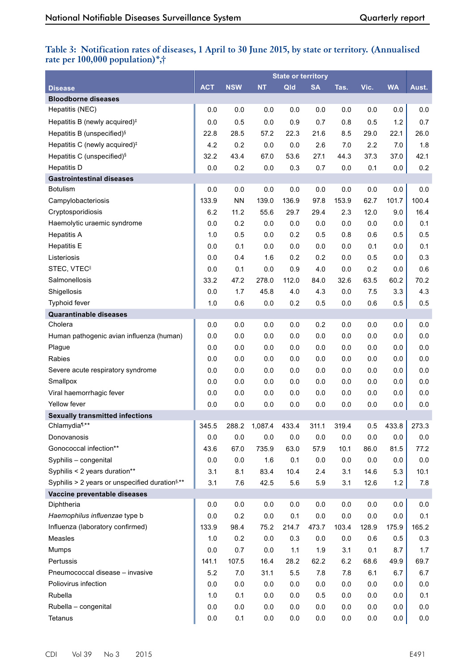### **Table 3: Notification rates of diseases, 1 April to 30 June 2015, by state or territory. (Annualised rate per 100,000 population)\*,†**

|                                                            |            |            |           | <b>State or territory</b> |           |         |         |           |         |
|------------------------------------------------------------|------------|------------|-----------|---------------------------|-----------|---------|---------|-----------|---------|
| <b>Disease</b>                                             | <b>ACT</b> | <b>NSW</b> | <b>NT</b> | Qld                       | <b>SA</b> | Tas.    | Vic.    | <b>WA</b> | Aust.   |
| <b>Bloodborne diseases</b>                                 |            |            |           |                           |           |         |         |           |         |
| Hepatitis (NEC)                                            | 0.0        | 0.0        | 0.0       | 0.0                       | 0.0       | 0.0     | 0.0     | 0.0       | 0.0     |
| Hepatitis B (newly acquired) <sup>#</sup>                  | 0.0        | 0.5        | 0.0       | 0.9                       | 0.7       | 0.8     | 0.5     | 1.2       | 0.7     |
| Hepatitis B (unspecified) <sup>§</sup>                     | 22.8       | 28.5       | 57.2      | 22.3                      | 21.6      | 8.5     | 29.0    | 22.1      | 26.0    |
| Hepatitis C (newly acquired) <sup>#</sup>                  | 4.2        | 0.2        | 0.0       | 0.0                       | 2.6       | 7.0     | 2.2     | 7.0       | 1.8     |
| Hepatitis C (unspecified) <sup>§</sup>                     | 32.2       | 43.4       | 67.0      | 53.6                      | 27.1      | 44.3    | 37.3    | 37.0      | 42.1    |
| <b>Hepatitis D</b>                                         | 0.0        | 0.2        | 0.0       | 0.3                       | 0.7       | 0.0     | 0.1     | 0.0       | 0.2     |
| <b>Gastrointestinal diseases</b>                           |            |            |           |                           |           |         |         |           |         |
| <b>Botulism</b>                                            | 0.0        | 0.0        | 0.0       | 0.0                       | 0.0       | 0.0     | 0.0     | 0.0       | 0.0     |
| Campylobacteriosis                                         | 133.9      | <b>NN</b>  | 139.0     | 136.9                     | 97.8      | 153.9   | 62.7    | 101.7     | 100.4   |
| Cryptosporidiosis                                          | 6.2        | 11.2       | 55.6      | 29.7                      | 29.4      | 2.3     | 12.0    | 9.0       | 16.4    |
| Haemolytic uraemic syndrome                                | 0.0        | 0.2        | 0.0       | 0.0                       | 0.0       | 0.0     | 0.0     | 0.0       | 0.1     |
| <b>Hepatitis A</b>                                         | 1.0        | 0.5        | 0.0       | 0.2                       | 0.5       | 0.8     | 0.6     | 0.5       | 0.5     |
| <b>Hepatitis E</b>                                         | 0.0        | 0.1        | $0.0\,$   | 0.0                       | $0.0\,$   | 0.0     | 0.1     | 0.0       | 0.1     |
| Listeriosis                                                | 0.0        | 0.4        | 1.6       | 0.2                       | 0.2       | 0.0     | 0.5     | 0.0       | 0.3     |
| STEC, VTEC <sup>II</sup>                                   | 0.0        | 0.1        | 0.0       | 0.9                       | 4.0       | 0.0     | 0.2     | 0.0       | 0.6     |
| Salmonellosis                                              | 33.2       | 47.2       | 278.0     | 112.0                     | 84.0      | 32.6    | 63.5    | 60.2      | 70.2    |
| Shigellosis                                                | 0.0        | 1.7        | 45.8      | 4.0                       | 4.3       | 0.0     | 7.5     | 3.3       | 4.3     |
| <b>Typhoid fever</b>                                       | 1.0        | 0.6        | $0.0\,$   | 0.2                       | 0.5       | 0.0     | 0.6     | 0.5       | 0.5     |
| <b>Quarantinable diseases</b>                              |            |            |           |                           |           |         |         |           |         |
| Cholera                                                    | 0.0        | 0.0        | 0.0       | 0.0                       | 0.2       | 0.0     | 0.0     | 0.0       | 0.0     |
| Human pathogenic avian influenza (human)                   | 0.0        | 0.0        | $0.0\,$   | 0.0                       | 0.0       | 0.0     | 0.0     | 0.0       | 0.0     |
| Plague                                                     | 0.0        | 0.0        | 0.0       | 0.0                       | 0.0       | 0.0     | 0.0     | 0.0       | 0.0     |
| Rabies                                                     | 0.0        | 0.0        | 0.0       | 0.0                       | 0.0       | 0.0     | 0.0     | 0.0       | 0.0     |
| Severe acute respiratory syndrome                          | 0.0        | 0.0        | $0.0\,$   | 0.0                       | 0.0       | 0.0     | 0.0     | 0.0       | 0.0     |
| Smallpox                                                   | 0.0        | 0.0        | 0.0       | 0.0                       | 0.0       | 0.0     | 0.0     | 0.0       | 0.0     |
| Viral haemorrhagic fever                                   | 0.0        | 0.0        | 0.0       | 0.0                       | 0.0       | 0.0     | 0.0     | 0.0       | 0.0     |
| Yellow fever                                               | 0.0        | 0.0        | 0.0       | 0.0                       | 0.0       | 0.0     | 0.0     | 0.0       | 0.0     |
| <b>Sexually transmitted infections</b>                     |            |            |           |                           |           |         |         |           |         |
| Chlamydia <sup>1,**</sup>                                  | 345.5      | 288.2      | 1,087.4   | 433.4                     | 311.1     | 319.4   | 0.5     | 433.8     | 273.3   |
| Donovanosis                                                | 0.0        | 0.0        | 0.0       | 0.0                       | 0.0       | 0.0     | 0.0     | 0.0       | 0.0     |
| Gonococcal infection**                                     | 43.6       | 67.0       | 735.9     | 63.0                      | 57.9      | 10.1    | 86.0    | 81.5      | 77.2    |
| Syphilis - congenital                                      | 0.0        | $0.0\,$    | 1.6       | 0.1                       | $0.0\,$   | 0.0     | $0.0\,$ | 0.0       | $0.0\,$ |
| Syphilis < 2 years duration**                              | 3.1        | 8.1        | 83.4      | 10.4                      | 2.4       | 3.1     | 14.6    | 5.3       | 10.1    |
| Syphilis > 2 years or unspecified duration <sup>§,**</sup> | 3.1        | 7.6        | 42.5      | 5.6                       | 5.9       | 3.1     | 12.6    | 1.2       | 7.8     |
| Vaccine preventable diseases                               |            |            |           |                           |           |         |         |           |         |
| Diphtheria                                                 | 0.0        | 0.0        | 0.0       | 0.0                       | 0.0       | 0.0     | 0.0     | 0.0       | 0.0     |
| Haemophilus influenzae type b                              | 0.0        | 0.2        | 0.0       | 0.1                       | $0.0\,$   | 0.0     | 0.0     | 0.0       | 0.1     |
| Influenza (laboratory confirmed)                           | 133.9      | 98.4       | 75.2      | 214.7                     | 473.7     | 103.4   | 128.9   | 175.9     | 165.2   |
| Measles                                                    | 1.0        | 0.2        | 0.0       | 0.3                       | 0.0       | $0.0\,$ | 0.6     | 0.5       | 0.3     |
| Mumps                                                      | 0.0        | 0.7        | 0.0       | 1.1                       | 1.9       | 3.1     | 0.1     | 8.7       | 1.7     |
| Pertussis                                                  | 141.1      | 107.5      | 16.4      | 28.2                      | 62.2      | $6.2\,$ | 68.6    | 49.9      | 69.7    |
| Pneumococcal disease - invasive                            | 5.2        | 7.0        | 31.1      | 5.5                       | 7.8       | 7.8     | 6.1     | 6.7       | 6.7     |
| Poliovirus infection                                       | 0.0        | $0.0\,$    | 0.0       | 0.0                       | $0.0\,$   | 0.0     | 0.0     | 0.0       | $0.0\,$ |
| Rubella                                                    | 1.0        | 0.1        | 0.0       | 0.0                       | 0.5       | 0.0     | 0.0     | 0.0       | 0.1     |
| Rubella - congenital                                       | 0.0        | 0.0        | 0.0       | $0.0\,$                   | 0.0       | 0.0     | 0.0     | 0.0       | $0.0\,$ |
| Tetanus                                                    | 0.0        | 0.1        | 0.0       | 0.0                       | 0.0       | 0.0     | 0.0     | 0.0       | $0.0\,$ |